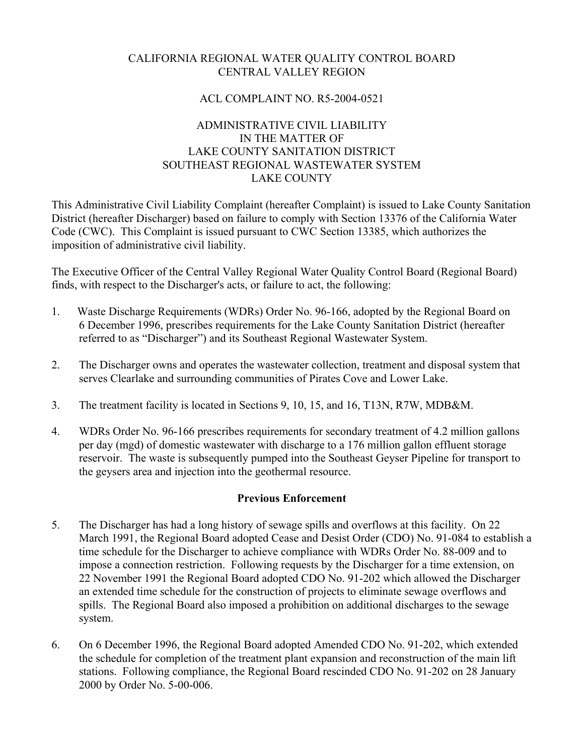# CALIFORNIA REGIONAL WATER QUALITY CONTROL BOARD CENTRAL VALLEY REGION

## ACL COMPLAINT NO. R5-2004-0521

## ADMINISTRATIVE CIVIL LIABILITY IN THE MATTER OF LAKE COUNTY SANITATION DISTRICT SOUTHEAST REGIONAL WASTEWATER SYSTEM LAKE COUNTY

This Administrative Civil Liability Complaint (hereafter Complaint) is issued to Lake County Sanitation District (hereafter Discharger) based on failure to comply with Section 13376 of the California Water Code (CWC). This Complaint is issued pursuant to CWC Section 13385, which authorizes the imposition of administrative civil liability.

The Executive Officer of the Central Valley Regional Water Quality Control Board (Regional Board) finds, with respect to the Discharger's acts, or failure to act, the following:

- 1. Waste Discharge Requirements (WDRs) Order No. 96-166, adopted by the Regional Board on 6 December 1996, prescribes requirements for the Lake County Sanitation District (hereafter referred to as "Discharger") and its Southeast Regional Wastewater System.
- 2. The Discharger owns and operates the wastewater collection, treatment and disposal system that serves Clearlake and surrounding communities of Pirates Cove and Lower Lake.
- 3. The treatment facility is located in Sections 9, 10, 15, and 16, T13N, R7W, MDB&M.
- 4. WDRs Order No. 96-166 prescribes requirements for secondary treatment of 4.2 million gallons per day (mgd) of domestic wastewater with discharge to a 176 million gallon effluent storage reservoir. The waste is subsequently pumped into the Southeast Geyser Pipeline for transport to the geysers area and injection into the geothermal resource.

### **Previous Enforcement**

- 5. The Discharger has had a long history of sewage spills and overflows at this facility. On 22 March 1991, the Regional Board adopted Cease and Desist Order (CDO) No. 91-084 to establish a time schedule for the Discharger to achieve compliance with WDRs Order No. 88-009 and to impose a connection restriction. Following requests by the Discharger for a time extension, on 22 November 1991 the Regional Board adopted CDO No. 91-202 which allowed the Discharger an extended time schedule for the construction of projects to eliminate sewage overflows and spills. The Regional Board also imposed a prohibition on additional discharges to the sewage system.
- 6. On 6 December 1996, the Regional Board adopted Amended CDO No. 91-202, which extended the schedule for completion of the treatment plant expansion and reconstruction of the main lift stations. Following compliance, the Regional Board rescinded CDO No. 91-202 on 28 January 2000 by Order No. 5-00-006.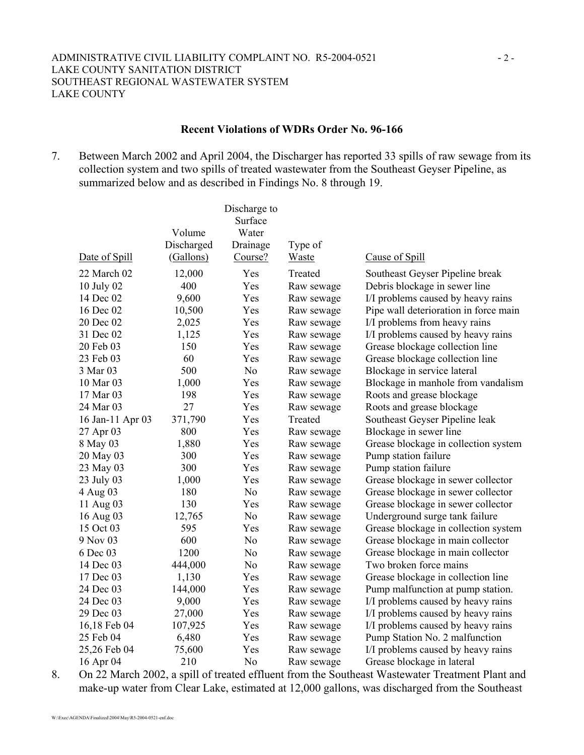#### **Recent Violations of WDRs Order No. 96-166**

7. Between March 2002 and April 2004, the Discharger has reported 33 spills of raw sewage from its collection system and two spills of treated wastewater from the Southeast Geyser Pipeline, as summarized below and as described in Findings No. 8 through 19.

|                  |            | Discharge to   |            |                                       |
|------------------|------------|----------------|------------|---------------------------------------|
|                  |            | Surface        |            |                                       |
|                  | Volume     | Water          |            |                                       |
|                  | Discharged | Drainage       | Type of    |                                       |
| Date of Spill    | (Gallons)  | Course?        | Waste      | Cause of Spill                        |
| 22 March 02      | 12,000     | Yes            | Treated    | Southeast Geyser Pipeline break       |
| 10 July 02       | 400        | Yes            | Raw sewage | Debris blockage in sewer line         |
| 14 Dec 02        | 9,600      | Yes            | Raw sewage | I/I problems caused by heavy rains    |
| 16 Dec 02        | 10,500     | Yes            | Raw sewage | Pipe wall deterioration in force main |
| 20 Dec 02        | 2,025      | Yes            | Raw sewage | I/I problems from heavy rains         |
| 31 Dec 02        | 1,125      | Yes            | Raw sewage | I/I problems caused by heavy rains    |
| 20 Feb 03        | 150        | Yes            | Raw sewage | Grease blockage collection line       |
| 23 Feb 03        | 60         | Yes            | Raw sewage | Grease blockage collection line       |
| 3 Mar 03         | 500        | N <sub>0</sub> | Raw sewage | Blockage in service lateral           |
| 10 Mar 03        | 1,000      | Yes            | Raw sewage | Blockage in manhole from vandalism    |
| 17 Mar 03        | 198        | Yes            | Raw sewage | Roots and grease blockage             |
| 24 Mar 03        | 27         | Yes            | Raw sewage | Roots and grease blockage             |
| 16 Jan-11 Apr 03 | 371,790    | Yes            | Treated    | Southeast Geyser Pipeline leak        |
| 27 Apr 03        | 800        | Yes            | Raw sewage | Blockage in sewer line                |
| 8 May 03         | 1,880      | Yes            | Raw sewage | Grease blockage in collection system  |
| 20 May 03        | 300        | Yes            | Raw sewage | Pump station failure                  |
| 23 May 03        | 300        | Yes            | Raw sewage | Pump station failure                  |
| 23 July 03       | 1,000      | Yes            | Raw sewage | Grease blockage in sewer collector    |
| 4 Aug 03         | 180        | N <sub>o</sub> | Raw sewage | Grease blockage in sewer collector    |
| 11 Aug 03        | 130        | Yes            | Raw sewage | Grease blockage in sewer collector    |
| 16 Aug 03        | 12,765     | N <sub>0</sub> | Raw sewage | Underground surge tank failure        |
| 15 Oct 03        | 595        | Yes            | Raw sewage | Grease blockage in collection system  |
| 9 Nov 03         | 600        | N <sub>0</sub> | Raw sewage | Grease blockage in main collector     |
| 6 Dec 03         | 1200       | No             | Raw sewage | Grease blockage in main collector     |
| 14 Dec 03        | 444,000    | N <sub>0</sub> | Raw sewage | Two broken force mains                |
| 17 Dec 03        | 1,130      | Yes            | Raw sewage | Grease blockage in collection line    |
| 24 Dec 03        | 144,000    | Yes            | Raw sewage | Pump malfunction at pump station.     |
| 24 Dec 03        | 9,000      | Yes            | Raw sewage | I/I problems caused by heavy rains    |
| 29 Dec 03        | 27,000     | Yes            | Raw sewage | I/I problems caused by heavy rains    |
| 16,18 Feb 04     | 107,925    | Yes            | Raw sewage | I/I problems caused by heavy rains    |
| 25 Feb 04        | 6,480      | Yes            | Raw sewage | Pump Station No. 2 malfunction        |
| 25,26 Feb 04     | 75,600     | Yes            | Raw sewage | I/I problems caused by heavy rains    |
| 16 Apr 04        | 210        | N <sub>0</sub> | Raw sewage | Grease blockage in lateral            |

8. On 22 March 2002, a spill of treated effluent from the Southeast Wastewater Treatment Plant and make-up water from Clear Lake, estimated at 12,000 gallons, was discharged from the Southeast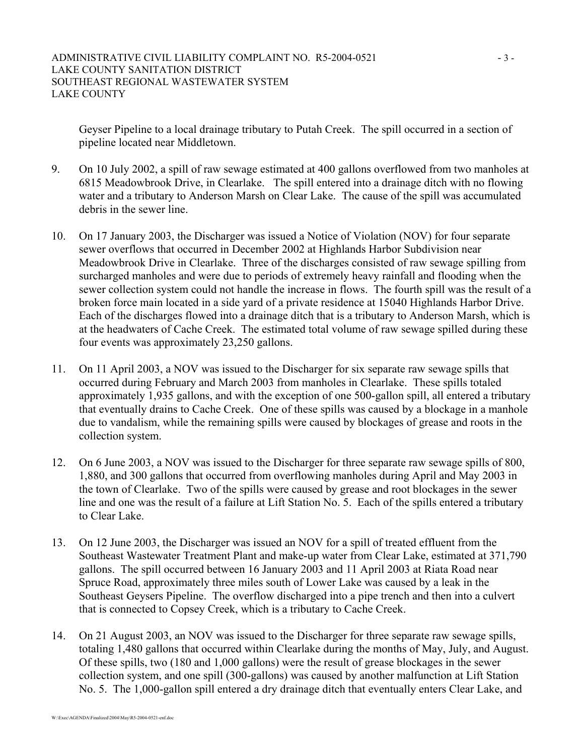Geyser Pipeline to a local drainage tributary to Putah Creek. The spill occurred in a section of pipeline located near Middletown.

- 9. On 10 July 2002, a spill of raw sewage estimated at 400 gallons overflowed from two manholes at 6815 Meadowbrook Drive, in Clearlake. The spill entered into a drainage ditch with no flowing water and a tributary to Anderson Marsh on Clear Lake. The cause of the spill was accumulated debris in the sewer line.
- 10. On 17 January 2003, the Discharger was issued a Notice of Violation (NOV) for four separate sewer overflows that occurred in December 2002 at Highlands Harbor Subdivision near Meadowbrook Drive in Clearlake. Three of the discharges consisted of raw sewage spilling from surcharged manholes and were due to periods of extremely heavy rainfall and flooding when the sewer collection system could not handle the increase in flows. The fourth spill was the result of a broken force main located in a side yard of a private residence at 15040 Highlands Harbor Drive. Each of the discharges flowed into a drainage ditch that is a tributary to Anderson Marsh, which is at the headwaters of Cache Creek. The estimated total volume of raw sewage spilled during these four events was approximately 23,250 gallons.
- 11. On 11 April 2003, a NOV was issued to the Discharger for six separate raw sewage spills that occurred during February and March 2003 from manholes in Clearlake. These spills totaled approximately 1,935 gallons, and with the exception of one 500-gallon spill, all entered a tributary that eventually drains to Cache Creek. One of these spills was caused by a blockage in a manhole due to vandalism, while the remaining spills were caused by blockages of grease and roots in the collection system.
- 12. On 6 June 2003, a NOV was issued to the Discharger for three separate raw sewage spills of 800, 1,880, and 300 gallons that occurred from overflowing manholes during April and May 2003 in the town of Clearlake. Two of the spills were caused by grease and root blockages in the sewer line and one was the result of a failure at Lift Station No. 5. Each of the spills entered a tributary to Clear Lake.
- 13. On 12 June 2003, the Discharger was issued an NOV for a spill of treated effluent from the Southeast Wastewater Treatment Plant and make-up water from Clear Lake, estimated at 371,790 gallons. The spill occurred between 16 January 2003 and 11 April 2003 at Riata Road near Spruce Road, approximately three miles south of Lower Lake was caused by a leak in the Southeast Geysers Pipeline. The overflow discharged into a pipe trench and then into a culvert that is connected to Copsey Creek, which is a tributary to Cache Creek.
- 14. On 21 August 2003, an NOV was issued to the Discharger for three separate raw sewage spills, totaling 1,480 gallons that occurred within Clearlake during the months of May, July, and August. Of these spills, two (180 and 1,000 gallons) were the result of grease blockages in the sewer collection system, and one spill (300-gallons) was caused by another malfunction at Lift Station No. 5. The 1,000-gallon spill entered a dry drainage ditch that eventually enters Clear Lake, and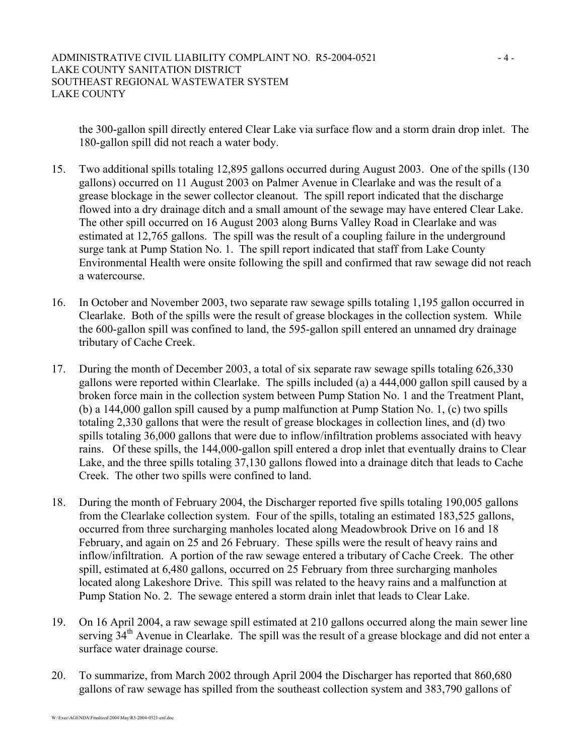the 300-gallon spill directly entered Clear Lake via surface flow and a storm drain drop inlet. The 180-gallon spill did not reach a water body.

- 15. Two additional spills totaling 12,895 gallons occurred during August 2003. One of the spills (130 gallons) occurred on 11 August 2003 on Palmer Avenue in Clearlake and was the result of a grease blockage in the sewer collector cleanout. The spill report indicated that the discharge flowed into a dry drainage ditch and a small amount of the sewage may have entered Clear Lake. The other spill occurred on 16 August 2003 along Burns Valley Road in Clearlake and was estimated at 12,765 gallons. The spill was the result of a coupling failure in the underground surge tank at Pump Station No. 1. The spill report indicated that staff from Lake County Environmental Health were onsite following the spill and confirmed that raw sewage did not reach a watercourse.
- 16. In October and November 2003, two separate raw sewage spills totaling 1,195 gallon occurred in Clearlake. Both of the spills were the result of grease blockages in the collection system. While the 600-gallon spill was confined to land, the 595-gallon spill entered an unnamed dry drainage tributary of Cache Creek.
- 17. During the month of December 2003, a total of six separate raw sewage spills totaling 626,330 gallons were reported within Clearlake. The spills included (a) a 444,000 gallon spill caused by a broken force main in the collection system between Pump Station No. 1 and the Treatment Plant, (b) a 144,000 gallon spill caused by a pump malfunction at Pump Station No. 1, (c) two spills totaling 2,330 gallons that were the result of grease blockages in collection lines, and (d) two spills totaling 36,000 gallons that were due to inflow/infiltration problems associated with heavy rains. Of these spills, the 144,000-gallon spill entered a drop inlet that eventually drains to Clear Lake, and the three spills totaling 37,130 gallons flowed into a drainage ditch that leads to Cache Creek. The other two spills were confined to land.
- 18. During the month of February 2004, the Discharger reported five spills totaling 190,005 gallons from the Clearlake collection system. Four of the spills, totaling an estimated 183,525 gallons, occurred from three surcharging manholes located along Meadowbrook Drive on 16 and 18 February, and again on 25 and 26 February. These spills were the result of heavy rains and inflow/infiltration. A portion of the raw sewage entered a tributary of Cache Creek. The other spill, estimated at 6,480 gallons, occurred on 25 February from three surcharging manholes located along Lakeshore Drive. This spill was related to the heavy rains and a malfunction at Pump Station No. 2. The sewage entered a storm drain inlet that leads to Clear Lake.
- 19. On 16 April 2004, a raw sewage spill estimated at 210 gallons occurred along the main sewer line serving 34<sup>th</sup> Avenue in Clearlake. The spill was the result of a grease blockage and did not enter a surface water drainage course.
- 20. To summarize, from March 2002 through April 2004 the Discharger has reported that 860,680 gallons of raw sewage has spilled from the southeast collection system and 383,790 gallons of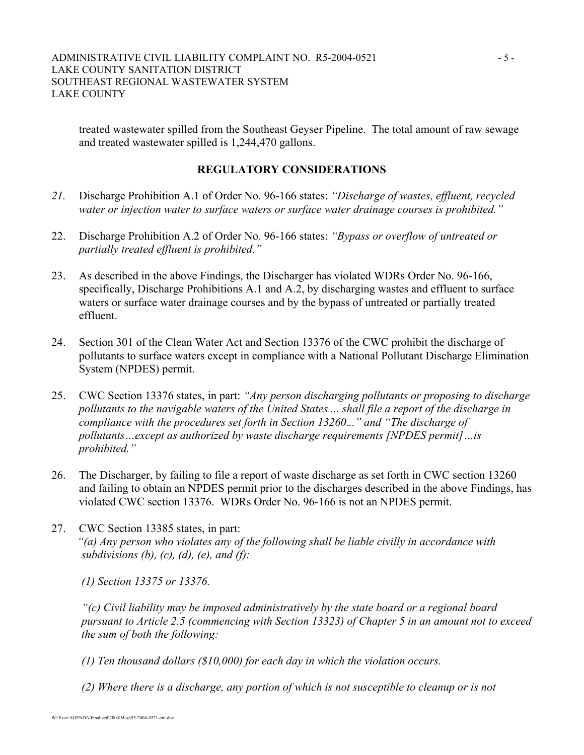treated wastewater spilled from the Southeast Geyser Pipeline. The total amount of raw sewage and treated wastewater spilled is 1,244,470 gallons.

### **REGULATORY CONSIDERATIONS**

- *21.* Discharge Prohibition A.1 of Order No. 96-166 states: *"Discharge of wastes, effluent, recycled water or injection water to surface waters or surface water drainage courses is prohibited."*
- 22. Discharge Prohibition A.2 of Order No. 96-166 states: *"Bypass or overflow of untreated or partially treated effluent is prohibited."*
- 23. As described in the above Findings, the Discharger has violated WDRs Order No. 96-166, specifically, Discharge Prohibitions A.1 and A.2, by discharging wastes and effluent to surface waters or surface water drainage courses and by the bypass of untreated or partially treated effluent.
- 24. Section 301 of the Clean Water Act and Section 13376 of the CWC prohibit the discharge of pollutants to surface waters except in compliance with a National Pollutant Discharge Elimination System (NPDES) permit.
- 25. CWC Section 13376 states, in part: *"Any person discharging pollutants or proposing to discharge pollutants to the navigable waters of the United States ... shall file a report of the discharge in compliance with the procedures set forth in Section 13260..." and "The discharge of pollutants…except as authorized by waste discharge requirements [NPDES permit]…is prohibited."*
- 26. The Discharger, by failing to file a report of waste discharge as set forth in CWC section 13260 and failing to obtain an NPDES permit prior to the discharges described in the above Findings, has violated CWC section 13376. WDRs Order No. 96-166 is not an NPDES permit.
- 27. CWC Section 13385 states, in part: *"(a) Any person who violates any of the following shall be liable civilly in accordance with subdivisions (b), (c), (d), (e), and (f):*

*(1) Section 13375 or 13376.* 

*"(c) Civil liability may be imposed administratively by the state board or a regional board pursuant to Article 2.5 (commencing with Section 13323) of Chapter 5 in an amount not to exceed the sum of both the following:* 

- *(1) Ten thousand dollars (\$10,000) for each day in which the violation occurs.*
- *(2) Where there is a discharge, any portion of which is not susceptible to cleanup or is not*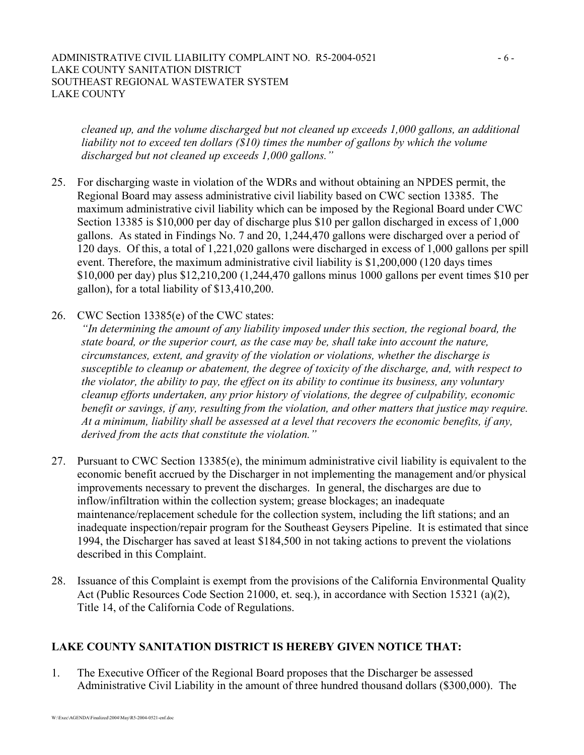#### ADMINISTRATIVE CIVIL LIABILITY COMPLAINT NO. R5-2004-0521 - 6 -LAKE COUNTY SANITATION DISTRICT SOUTHEAST REGIONAL WASTEWATER SYSTEM LAKE COUNTY

*cleaned up, and the volume discharged but not cleaned up exceeds 1,000 gallons, an additional liability not to exceed ten dollars (\$10) times the number of gallons by which the volume discharged but not cleaned up exceeds 1,000 gallons."*

- 25. For discharging waste in violation of the WDRs and without obtaining an NPDES permit, the Regional Board may assess administrative civil liability based on CWC section 13385. The maximum administrative civil liability which can be imposed by the Regional Board under CWC Section 13385 is \$10,000 per day of discharge plus \$10 per gallon discharged in excess of 1,000 gallons. As stated in Findings No. 7 and 20, 1,244,470 gallons were discharged over a period of 120 days. Of this, a total of 1,221,020 gallons were discharged in excess of 1,000 gallons per spill event. Therefore, the maximum administrative civil liability is \$1,200,000 (120 days times \$10,000 per day) plus \$12,210,200 (1,244,470 gallons minus 1000 gallons per event times \$10 per gallon), for a total liability of \$13,410,200.
- 26. CWC Section 13385(e) of the CWC states:

*"In determining the amount of any liability imposed under this section, the regional board, the state board, or the superior court, as the case may be, shall take into account the nature, circumstances, extent, and gravity of the violation or violations, whether the discharge is susceptible to cleanup or abatement, the degree of toxicity of the discharge, and, with respect to the violator, the ability to pay, the effect on its ability to continue its business, any voluntary cleanup efforts undertaken, any prior history of violations, the degree of culpability, economic benefit or savings, if any, resulting from the violation, and other matters that justice may require. At a minimum, liability shall be assessed at a level that recovers the economic benefits, if any, derived from the acts that constitute the violation."* 

- 27. Pursuant to CWC Section 13385(e), the minimum administrative civil liability is equivalent to the economic benefit accrued by the Discharger in not implementing the management and/or physical improvements necessary to prevent the discharges. In general, the discharges are due to inflow/infiltration within the collection system; grease blockages; an inadequate maintenance/replacement schedule for the collection system, including the lift stations; and an inadequate inspection/repair program for the Southeast Geysers Pipeline. It is estimated that since 1994, the Discharger has saved at least \$184,500 in not taking actions to prevent the violations described in this Complaint.
- 28. Issuance of this Complaint is exempt from the provisions of the California Environmental Quality Act (Public Resources Code Section 21000, et. seq.), in accordance with Section 15321 (a)(2), Title 14, of the California Code of Regulations.

## **LAKE COUNTY SANITATION DISTRICT IS HEREBY GIVEN NOTICE THAT:**

1. The Executive Officer of the Regional Board proposes that the Discharger be assessed Administrative Civil Liability in the amount of three hundred thousand dollars (\$300,000). The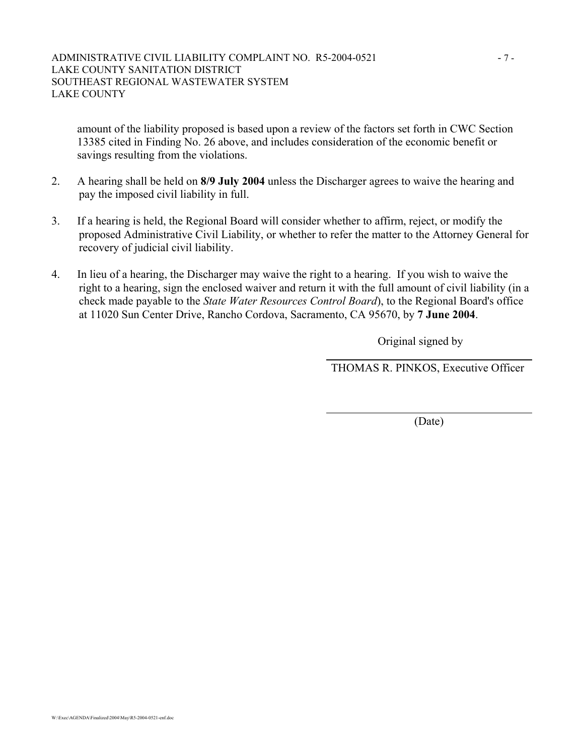amount of the liability proposed is based upon a review of the factors set forth in CWC Section 13385 cited in Finding No. 26 above, and includes consideration of the economic benefit or savings resulting from the violations.

- 2. A hearing shall be held on **8/9 July 2004** unless the Discharger agrees to waive the hearing and pay the imposed civil liability in full.
- 3. If a hearing is held, the Regional Board will consider whether to affirm, reject, or modify the proposed Administrative Civil Liability, or whether to refer the matter to the Attorney General for recovery of judicial civil liability.
- 4. In lieu of a hearing, the Discharger may waive the right to a hearing. If you wish to waive the right to a hearing, sign the enclosed waiver and return it with the full amount of civil liability (in a check made payable to the *State Water Resources Control Board*), to the Regional Board's office at 11020 Sun Center Drive, Rancho Cordova, Sacramento, CA 95670, by **7 June 2004**.

Original signed by

THOMAS R. PINKOS, Executive Officer

(Date)